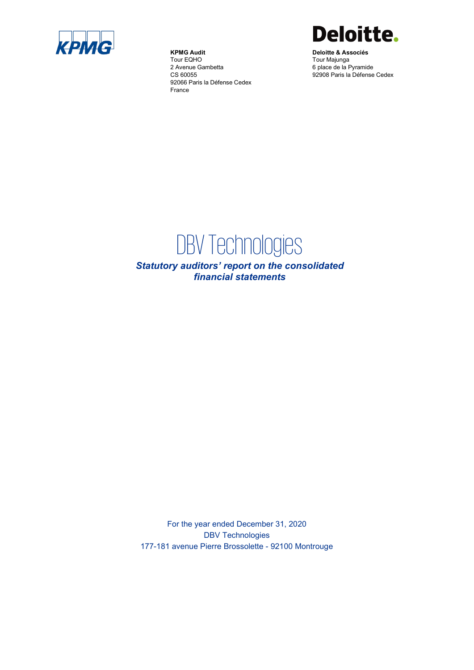

**KPMG Audit** Tour EQHO 2 Avenue Gambetta CS 60055 92066 Paris la Défense Cedex France



**Deloitte & Associés** Tour Majunga 6 place de la Pyramide 92908 Paris la Défense Cedex

# DBV Technologies

*Statutory auditors' report on the consolidated financial statements*

For the year ended December 31, 2020 DBV Technologies 177-181 avenue Pierre Brossolette - 92100 Montrouge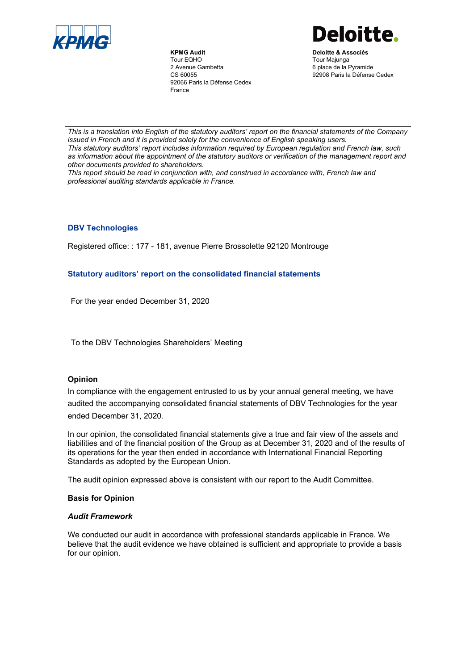

**KPMG Audit** Tour EQHO 2 Avenue Gambetta CS 60055 92066 Paris la Défense Cedex France



**Deloitte & Associés** Tour Majunga 6 place de la Pyramide 92908 Paris la Défense Cedex

*This is a translation into English of the statutory auditors' report on the financial statements of the Company issued in French and it is provided solely for the convenience of English speaking users. This statutory auditors' report includes information required by European regulation and French law, such as information about the appointment of the statutory auditors or verification of the management report and other documents provided to shareholders.*

*This report should be read in conjunction with, and construed in accordance with, French law and professional auditing standards applicable in France.*

# **DBV Technologies**

Registered office: : 177 - 181, avenue Pierre Brossolette 92120 Montrouge

# **Statutory auditors' report on the consolidated financial statements**

For the year ended December 31, 2020

To the DBV Technologies Shareholders' Meeting

### **Opinion**

In compliance with the engagement entrusted to us by your annual general meeting, we have audited the accompanying consolidated financial statements of DBV Technologies for the year ended December 31, 2020*.*

In our opinion, the consolidated financial statements give a true and fair view of the assets and liabilities and of the financial position of the Group as at December 31, 2020 and of the results of its operations for the year then ended in accordance with International Financial Reporting Standards as adopted by the European Union.

The audit opinion expressed above is consistent with our report to the Audit Committee.

### **Basis for Opinion**

### *Audit Framework*

We conducted our audit in accordance with professional standards applicable in France. We believe that the audit evidence we have obtained is sufficient and appropriate to provide a basis for our opinion.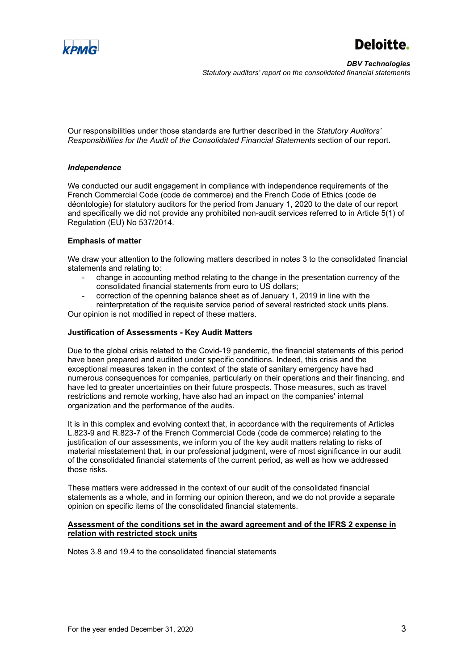



Our responsibilities under those standards are further described in the *Statutory Auditors' Responsibilities for the Audit of the Consolidated Financial Statements* section of our report.

# *Independence*

We conducted our audit engagement in compliance with independence requirements of the French Commercial Code (code de commerce) and the French Code of Ethics (code de déontologie) for statutory auditors for the period from January 1, 2020 to the date of our report and specifically we did not provide any prohibited non-audit services referred to in Article 5(1) of Regulation (EU) No 537/2014.

# **Emphasis of matter**

We draw your attention to the following matters described in notes 3 to the consolidated financial statements and relating to:

- change in accounting method relating to the change in the presentation currency of the consolidated financial statements from euro to US dollars;
- correction of the openning balance sheet as of January 1, 2019 in line with the reinterpretation of the requisite service period of several restricted stock units plans.

Our opinion is not modified in repect of these matters.

# **Justification of Assessments - Key Audit Matters**

Due to the global crisis related to the Covid-19 pandemic, the financial statements of this period have been prepared and audited under specific conditions. Indeed, this crisis and the exceptional measures taken in the context of the state of sanitary emergency have had numerous consequences for companies, particularly on their operations and their financing, and have led to greater uncertainties on their future prospects. Those measures, such as travel restrictions and remote working, have also had an impact on the companies' internal organization and the performance of the audits.

It is in this complex and evolving context that, in accordance with the requirements of Articles L.823-9 and R.823-7 of the French Commercial Code (code de commerce) relating to the justification of our assessments, we inform you of the key audit matters relating to risks of material misstatement that, in our professional judgment, were of most significance in our audit of the consolidated financial statements of the current period, as well as how we addressed those risks.

These matters were addressed in the context of our audit of the consolidated financial statements as a whole, and in forming our opinion thereon, and we do not provide a separate opinion on specific items of the consolidated financial statements.

### **Assessment of the conditions set in the award agreement and of the IFRS 2 expense in relation with restricted stock units**

Notes 3.8 and 19.4 to the consolidated financial statements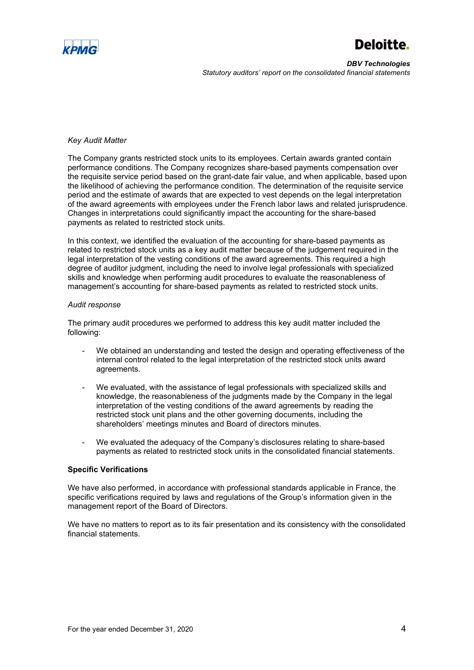

# Deloitte.

*DBV Technologies Statutory auditors' report on the consolidated financial statements*

#### *Key Audit Matter*

The Company grants restricted stock units to its employees. Certain awards granted contain performance conditions. The Company recognizes share-based payments compensation over the requisite service period based on the grant-date fair value, and when applicable, based upon the likelihood of achieving the performance condition. The determination of the requisite service period and the estimate of awards that are expected to vest depends on the legal interpretation of the award agreements with employees under the French labor laws and related jurisprudence. Changes in interpretations could significantly impact the accounting for the share-based payments as related to restricted stock units.

In this context, we identified the evaluation of the accounting for share-based payments as related to restricted stock units as a key audit matter because of the judgement required in the legal interpretation of the vesting conditions of the award agreements. This required a high degree of auditor judgment, including the need to involve legal professionals with specialized skills and knowledge when performing audit procedures to evaluate the reasonableness of management's accounting for share-based payments as related to restricted stock units.

#### *Audit response*

The primary audit procedures we performed to address this key audit matter included the following:

- We obtained an understanding and tested the design and operating effectiveness of the internal control related to the legal interpretation of the restricted stock units award agreements.
- We evaluated, with the assistance of legal professionals with specialized skills and knowledge, the reasonableness of the judgments made by the Company in the legal interpretation of the vesting conditions of the award agreements by reading the restricted stock unit plans and the other governing documents, including the shareholders' meetings minutes and Board of directors minutes.
- We evaluated the adequacy of the Company's disclosures relating to share-based payments as related to restricted stock units in the consolidated financial statements.

# **Specific Verifications**

We have also performed, in accordance with professional standards applicable in France, the specific verifications required by laws and regulations of the Group's information given in the management report of the Board of Directors*.*

We have no matters to report as to its fair presentation and its consistency with the consolidated financial statements.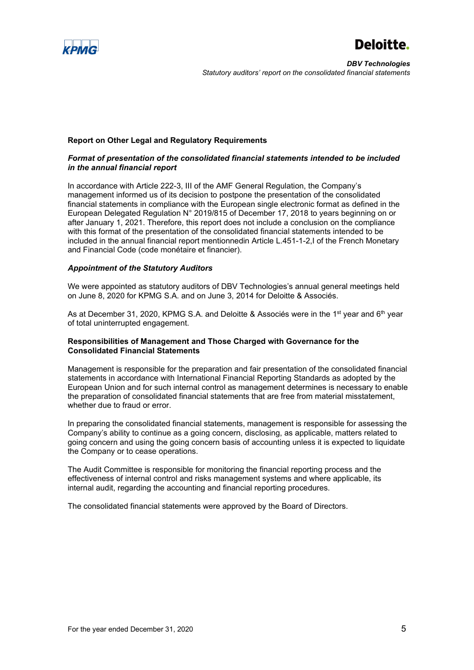



#### **Report on Other Legal and Regulatory Requirements**

# *Format of presentation of the consolidated financial statements intended to be included in the annual financial report*

In accordance with Article 222-3, III of the AMF General Regulation, the Company's management informed us of its decision to postpone the presentation of the consolidated financial statements in compliance with the European single electronic format as defined in the European Delegated Regulation N° 2019/815 of December 17, 2018 to years beginning on or after January 1, 2021. Therefore, this report does not include a conclusion on the compliance with this format of the presentation of the consolidated financial statements intended to be included in the annual financial report mentionnedin Article L.451-1-2,I of the French Monetary and Financial Code (code monétaire et financier).

#### *Appointment of the Statutory Auditors*

We were appointed as statutory auditors of DBV Technologies's annual general meetings held on June 8, 2020 for KPMG S.A. and on June 3, 2014 for Deloitte & Associés.

As at December 31, 2020, KPMG S.A. and Deloitte & Associés were in the 1<sup>st</sup> year and 6<sup>th</sup> year of total uninterrupted engagement.

#### **Responsibilities of Management and Those Charged with Governance for the Consolidated Financial Statements**

Management is responsible for the preparation and fair presentation of the consolidated financial statements in accordance with International Financial Reporting Standards as adopted by the European Union and for such internal control as management determines is necessary to enable the preparation of consolidated financial statements that are free from material misstatement, whether due to fraud or error.

In preparing the consolidated financial statements, management is responsible for assessing the Company's ability to continue as a going concern, disclosing, as applicable, matters related to going concern and using the going concern basis of accounting unless it is expected to liquidate the Company or to cease operations.

The Audit Committee is responsible for monitoring the financial reporting process and the effectiveness of internal control and risks management systems and where applicable, its internal audit, regarding the accounting and financial reporting procedures.

The consolidated financial statements were approved by the Board of Directors.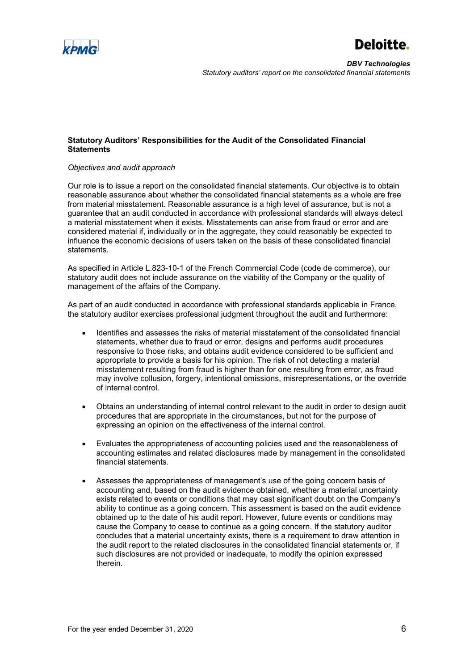

# **Statutory Auditors' Responsibilities for the Audit of the Consolidated Financial Statements**

# *Objectives and audit approach*

Our role is to issue a report on the consolidated financial statements. Our objective is to obtain reasonable assurance about whether the consolidated financial statements as a whole are free from material misstatement. Reasonable assurance is a high level of assurance, but is not a guarantee that an audit conducted in accordance with professional standards will always detect a material misstatement when it exists. Misstatements can arise from fraud or error and are considered material if, individually or in the aggregate, they could reasonably be expected to influence the economic decisions of users taken on the basis of these consolidated financial statements.

As specified in Article L.823-10-1 of the French Commercial Code (code de commerce), our statutory audit does not include assurance on the viability of the Company or the quality of management of the affairs of the Company.

As part of an audit conducted in accordance with professional standards applicable in France, the statutory auditor exercises professional judgment throughout the audit and furthermore:

- Identifies and assesses the risks of material misstatement of the consolidated financial statements, whether due to fraud or error, designs and performs audit procedures responsive to those risks, and obtains audit evidence considered to be sufficient and appropriate to provide a basis for his opinion. The risk of not detecting a material misstatement resulting from fraud is higher than for one resulting from error, as fraud may involve collusion, forgery, intentional omissions, misrepresentations, or the override of internal control.
- Obtains an understanding of internal control relevant to the audit in order to design audit procedures that are appropriate in the circumstances, but not for the purpose of expressing an opinion on the effectiveness of the internal control.
- Evaluates the appropriateness of accounting policies used and the reasonableness of accounting estimates and related disclosures made by management in the consolidated financial statements.
- Assesses the appropriateness of management's use of the going concern basis of accounting and, based on the audit evidence obtained, whether a material uncertainty exists related to events or conditions that may cast significant doubt on the Company's ability to continue as a going concern. This assessment is based on the audit evidence obtained up to the date of his audit report. However, future events or conditions may cause the Company to cease to continue as a going concern. If the statutory auditor concludes that a material uncertainty exists, there is a requirement to draw attention in the audit report to the related disclosures in the consolidated financial statements or, if such disclosures are not provided or inadequate, to modify the opinion expressed therein.